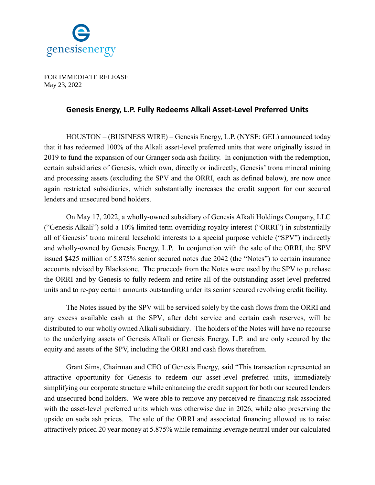

FOR IMMEDIATE RELEASE May 23, 2022

## **Genesis Energy, L.P. Fully Redeems Alkali Asset-Level Preferred Units**

HOUSTON – (BUSINESS WIRE) – Genesis Energy, L.P. (NYSE: GEL) announced today that it has redeemed 100% of the Alkali asset-level preferred units that were originally issued in 2019 to fund the expansion of our Granger soda ash facility. In conjunction with the redemption, certain subsidiaries of Genesis, which own, directly or indirectly, Genesis' trona mineral mining and processing assets (excluding the SPV and the ORRI, each as defined below), are now once again restricted subsidiaries, which substantially increases the credit support for our secured lenders and unsecured bond holders.

On May 17, 2022, a wholly-owned subsidiary of Genesis Alkali Holdings Company, LLC ("Genesis Alkali") sold a 10% limited term overriding royalty interest ("ORRI") in substantially all of Genesis' trona mineral leasehold interests to a special purpose vehicle ("SPV") indirectly and wholly-owned by Genesis Energy, L.P. In conjunction with the sale of the ORRI, the SPV issued \$425 million of 5.875% senior secured notes due 2042 (the "Notes") to certain insurance accounts advised by Blackstone. The proceeds from the Notes were used by the SPV to purchase the ORRI and by Genesis to fully redeem and retire all of the outstanding asset-level preferred units and to re-pay certain amounts outstanding under its senior secured revolving credit facility.

The Notes issued by the SPV will be serviced solely by the cash flows from the ORRI and any excess available cash at the SPV, after debt service and certain cash reserves, will be distributed to our wholly owned Alkali subsidiary. The holders of the Notes will have no recourse to the underlying assets of Genesis Alkali or Genesis Energy, L.P. and are only secured by the equity and assets of the SPV, including the ORRI and cash flows therefrom.

Grant Sims, Chairman and CEO of Genesis Energy, said "This transaction represented an attractive opportunity for Genesis to redeem our asset-level preferred units, immediately simplifying our corporate structure while enhancing the credit support for both our secured lenders and unsecured bond holders. We were able to remove any perceived re-financing risk associated with the asset-level preferred units which was otherwise due in 2026, while also preserving the upside on soda ash prices. The sale of the ORRI and associated financing allowed us to raise attractively priced 20 year money at 5.875% while remaining leverage neutral under our calculated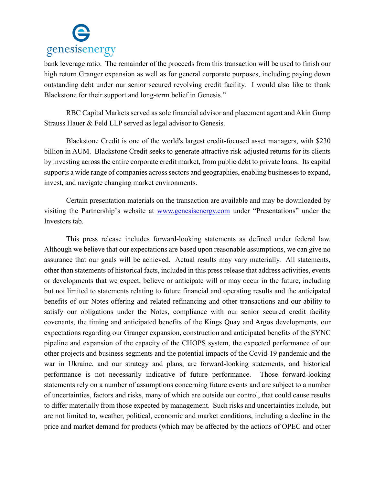

bank leverage ratio. The remainder of the proceeds from this transaction will be used to finish our high return Granger expansion as well as for general corporate purposes, including paying down outstanding debt under our senior secured revolving credit facility. I would also like to thank Blackstone for their support and long-term belief in Genesis."

RBC Capital Markets served as sole financial advisor and placement agent and Akin Gump Strauss Hauer & Feld LLP served as legal advisor to Genesis.

Blackstone Credit is one of the world's largest credit-focused asset managers, with \$230 billion in AUM. Blackstone Credit seeks to generate attractive risk-adjusted returns for its clients by investing across the entire corporate credit market, from public debt to private loans. Its capital supports a wide range of companies across sectors and geographies, enabling businesses to expand, invest, and navigate changing market environments.

Certain presentation materials on the transaction are available and may be downloaded by visiting the Partnership's website at [www.genesisenergy.com](http://www.genesisenergy.com/) under "Presentations" under the Investors tab.

This press release includes forward-looking statements as defined under federal law. Although we believe that our expectations are based upon reasonable assumptions, we can give no assurance that our goals will be achieved. Actual results may vary materially. All statements, other than statements of historical facts, included in this press release that address activities, events or developments that we expect, believe or anticipate will or may occur in the future, including but not limited to statements relating to future financial and operating results and the anticipated benefits of our Notes offering and related refinancing and other transactions and our ability to satisfy our obligations under the Notes, compliance with our senior secured credit facility covenants, the timing and anticipated benefits of the Kings Quay and Argos developments, our expectations regarding our Granger expansion, construction and anticipated benefits of the SYNC pipeline and expansion of the capacity of the CHOPS system, the expected performance of our other projects and business segments and the potential impacts of the Covid-19 pandemic and the war in Ukraine, and our strategy and plans, are forward-looking statements, and historical performance is not necessarily indicative of future performance. Those forward-looking statements rely on a number of assumptions concerning future events and are subject to a number of uncertainties, factors and risks, many of which are outside our control, that could cause results to differ materially from those expected by management. Such risks and uncertainties include, but are not limited to, weather, political, economic and market conditions, including a decline in the price and market demand for products (which may be affected by the actions of OPEC and other